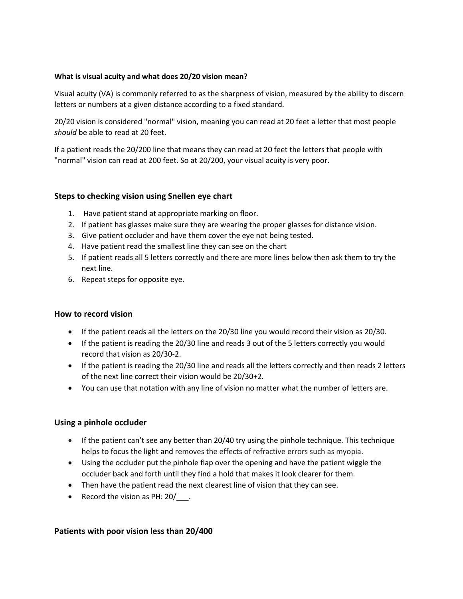### **What is visual acuity and what does 20/20 vision mean?**

Visual acuity (VA) is commonly referred to as the sharpness of vision, measured by the ability to discern letters or numbers at a given distance according to a fixed standard.

20/20 vision is considered "normal" vision, meaning you can read at 20 feet a letter that most people *should* be able to read at 20 feet.

If a patient reads the 20/200 line that means they can read at 20 feet the letters that people with "normal" vision can read at 200 feet. So at 20/200, your visual acuity is very poor.

### **Steps to checking vision using Snellen eye chart**

- 1. Have patient stand at appropriate marking on floor.
- 2. If patient has glasses make sure they are wearing the proper glasses for distance vision.
- 3. Give patient occluder and have them cover the eye not being tested.
- 4. Have patient read the smallest line they can see on the chart
- 5. If patient reads all 5 letters correctly and there are more lines below then ask them to try the next line.
- 6. Repeat steps for opposite eye.

#### **How to record vision**

- If the patient reads all the letters on the 20/30 line you would record their vision as 20/30.
- If the patient is reading the 20/30 line and reads 3 out of the 5 letters correctly you would record that vision as 20/30-2.
- If the patient is reading the 20/30 line and reads all the letters correctly and then reads 2 letters of the next line correct their vision would be 20/30+2.
- You can use that notation with any line of vision no matter what the number of letters are.

# **Using a pinhole occluder**

- If the patient can't see any better than 20/40 try using the pinhole technique. This technique helps to focus the light and removes the effects of refractive errors such as myopia.
- Using the occluder put the pinhole flap over the opening and have the patient wiggle the occluder back and forth until they find a hold that makes it look clearer for them.
- Then have the patient read the next clearest line of vision that they can see.
- Record the vision as PH: 20/ .

# **Patients with poor vision less than 20/400**